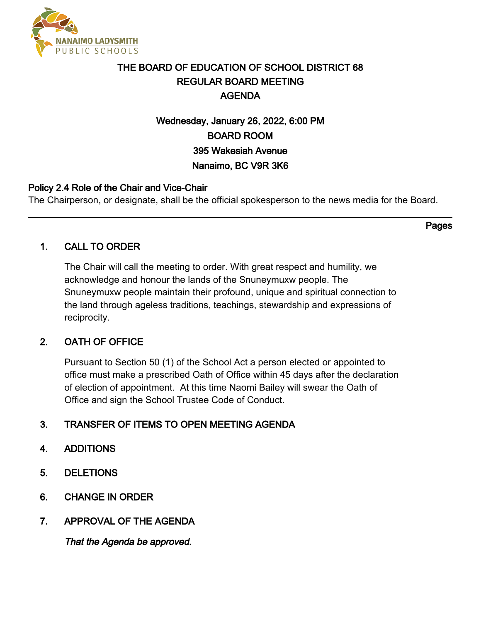

# THE BOARD OF EDUCATION OF SCHOOL DISTRICT 68 REGULAR BOARD MEETING AGENDA

# Wednesday, January 26, 2022, 6:00 PM BOARD ROOM 395 Wakesiah Avenue Nanaimo, BC V9R 3K6

# Policy 2.4 Role of the Chair and Vice-Chair

The Chairperson, or designate, shall be the official spokesperson to the news media for the Board.

# 1. CALL TO ORDER

The Chair will call the meeting to order. With great respect and humility, we acknowledge and honour the lands of the Snuneymuxw people. The Snuneymuxw people maintain their profound, unique and spiritual connection to the land through ageless traditions, teachings, stewardship and expressions of reciprocity.

# 2. OATH OF OFFICE

Pursuant to Section 50 (1) of the School Act a person elected or appointed to office must make a prescribed Oath of Office within 45 days after the declaration of election of appointment. At this time Naomi Bailey will swear the Oath of Office and sign the School Trustee Code of Conduct.

# 3. TRANSFER OF ITEMS TO OPEN MEETING AGENDA

# 4. ADDITIONS

- 5. DELETIONS
- 6. CHANGE IN ORDER
- 7. APPROVAL OF THE AGENDA

That the Agenda be approved.

Pages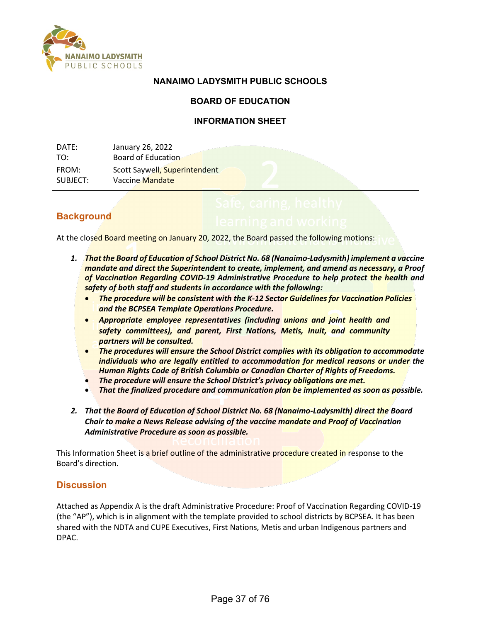

## **NANAIMO LADYSMITH PUBLIC SCHOOLS**

## **BOARD OF EDUCATION**

### **INFORMATION SHEET**

| DATE:    | January 26, 2022              |
|----------|-------------------------------|
| TO:      | Board of Education            |
| FROM:    | Scott Saywell, Superintendent |
| SUBJECT: | Vaccine Mandate               |

## **Background**

At the closed Board meeting on January 20, 2022, the Board passed the following motions:

- *1. That the Board of Education of School District No. 68 (Nanaimo-Ladysmith) implement a vaccine mandate and direct the Superintendent to create, implement, and amend as necessary, a Proof of Vaccination Regarding COVID-19 Administrative Procedure to help protect the health and safety of both staff and students in accordance with the following:*
	- *The procedure will be consistent with the K-12 Sector Guidelines for Vaccination Policies and the BCPSEA Template Operations Procedure.*
	- *Appropriate employee representatives (including unions and joint health and safety committees), and parent, First Nations, Metis, Inuit, and community partners will be consulted.*
	- *The procedures will ensure the School District complies with its obligation to accommodate individuals who are legally entitled to accommodation for medical reasons or under the Human Rights Code of British Columbia or Canadian Charter of Rights of Freedoms.*
	- *The procedure will ensure the School District's privacy obligations are met.*
	- *That the finalized procedure and communication plan be implemented as soon as possible.*
- *2. That the Board of Education of School District No. 68 (Nanaimo-Ladysmith) direct the Board Chair to make a News Release advising of the vaccine mandate and Proof of Vaccination Administrative Procedure as soon as possible.*

This Information Sheet is a brief outline of the administrative procedure created in response to the Board's direction.

## **Discussion**

Attached as Appendix A is the draft Administrative Procedure: Proof of Vaccination Regarding COVID-19 (the "AP"), which is in alignment with the template provided to school districts by BCPSEA. It has been shared with the NDTA and CUPE Executives, First Nations, Metis and urban Indigenous partners and DPAC.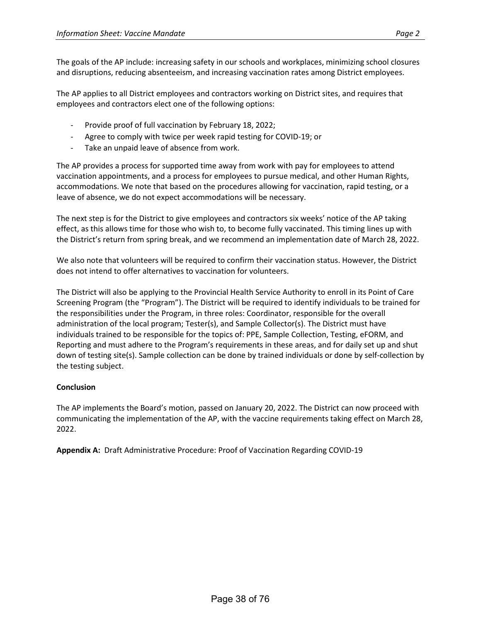The AP applies to all District employees and contractors working on District sites, and requires that employees and contractors elect one of the following options:

- Provide proof of full vaccination by February 18, 2022;
- Agree to comply with twice per week rapid testing for COVID-19; or
- Take an unpaid leave of absence from work.

The AP provides a process for supported time away from work with pay for employees to attend vaccination appointments, and a process for employees to pursue medical, and other Human Rights, accommodations. We note that based on the procedures allowing for vaccination, rapid testing, or a leave of absence, we do not expect accommodations will be necessary.

The next step is for the District to give employees and contractors six weeks' notice of the AP taking effect, as this allows time for those who wish to, to become fully vaccinated. This timing lines up with the District's return from spring break, and we recommend an implementation date of March 28, 2022.

We also note that volunteers will be required to confirm their vaccination status. However, the District does not intend to offer alternatives to vaccination for volunteers.

The District will also be applying to the Provincial Health Service Authority to enroll in its Point of Care Screening Program (the "Program"). The District will be required to identify individuals to be trained for the responsibilities under the Program, in three roles: Coordinator, responsible for the overall administration of the local program; Tester(s), and Sample Collector(s). The District must have individuals trained to be responsible for the topics of: PPE, Sample Collection, Testing, eFORM, and Reporting and must adhere to the Program's requirements in these areas, and for daily set up and shut down of testing site(s). Sample collection can be done by trained individuals or done by self-collection by the testing subject.

#### **Conclusion**

The AP implements the Board's motion, passed on January 20, 2022. The District can now proceed with communicating the implementation of the AP, with the vaccine requirements taking effect on March 28, 2022.

**Appendix A:** Draft Administrative Procedure: Proof of Vaccination Regarding COVID-19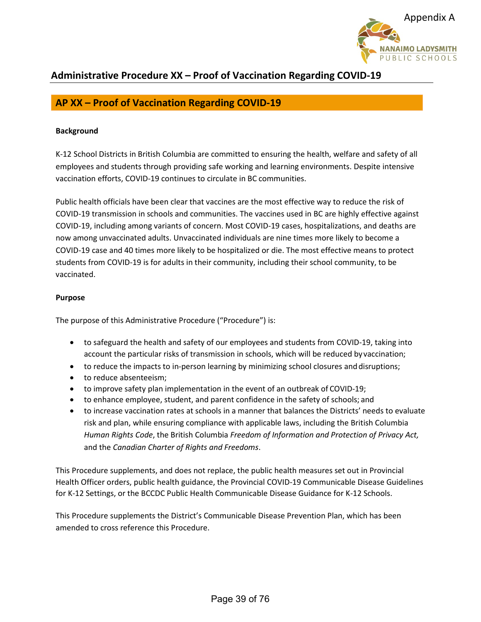

# **AP XX – Proof of Vaccination Regarding COVID-19**

#### **Background**

K-12 School Districts in British Columbia are committed to ensuring the health, welfare and safety of all employees and students through providing safe working and learning environments. Despite intensive vaccination efforts, COVID-19 continues to circulate in BC communities.

Public health officials have been clear that vaccines are the most effective way to reduce the risk of COVID-19 transmission in schools and communities. The vaccines used in BC are highly effective against COVID-19, including among variants of concern. Most COVID-19 cases, hospitalizations, and deaths are now among unvaccinated adults. Unvaccinated individuals are nine times more likely to become a COVID-19 case and 40 times more likely to be hospitalized or die. The most effective means to protect students from COVID-19 is for adults in their community, including their school community, to be vaccinated.

#### **Purpose**

The purpose of this Administrative Procedure ("Procedure") is:

- to safeguard the health and safety of our employees and students from COVID-19, taking into account the particular risks of transmission in schools, which will be reduced byvaccination;
- to reduce the impacts to in-person learning by minimizing school closures anddisruptions;
- to reduce absenteeism;
- to improve safety plan implementation in the event of an outbreak of COVID-19;
- to enhance employee, student, and parent confidence in the safety of schools; and
- to increase vaccination rates at schools in a manner that balances the Districts' needs to evaluate risk and plan, while ensuring compliance with applicable laws, including the British Columbia *Human Rights Code*, the British Columbia *Freedom of Information and Protection of Privacy Act,* and the *Canadian Charter of Rights and Freedoms*.

This Procedure supplements, and does not replace, the public health measures set out in Provincial Health Officer orders, public health guidance, the Provincial COVID-19 Communicable Disease Guidelines for K-12 Settings, or the BCCDC Public Health Communicable Disease Guidance for K-12 Schools.

This Procedure supplements the District's Communicable Disease Prevention Plan, which has been amended to cross reference this Procedure.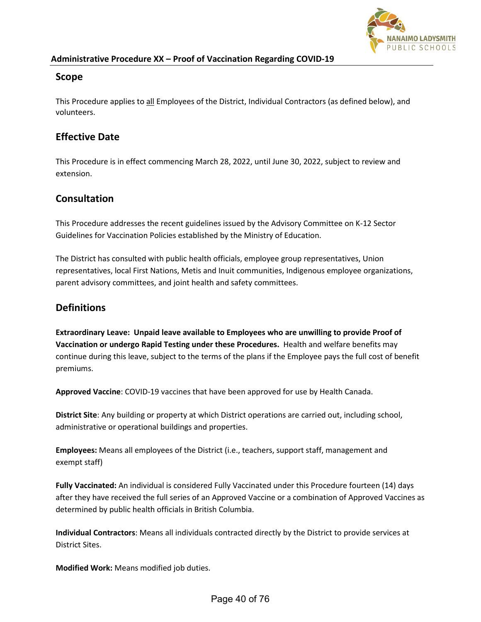

### **Scope**

This Procedure applies to all Employees of the District, Individual Contractors (as defined below), and volunteers.

# **Effective Date**

This Procedure is in effect commencing March 28, 2022, until June 30, 2022, subject to review and extension.

# **Consultation**

This Procedure addresses the recent guidelines issued by the Advisory Committee on K-12 Sector Guidelines for Vaccination Policies established by the Ministry of Education.

The District has consulted with public health officials, employee group representatives, Union representatives, local First Nations, Metis and Inuit communities, Indigenous employee organizations, parent advisory committees, and joint health and safety committees.

# **Definitions**

**Extraordinary Leave: Unpaid leave available to Employees who are unwilling to provide Proof of Vaccination or undergo Rapid Testing under these Procedures.** Health and welfare benefits may continue during this leave, subject to the terms of the plans if the Employee pays the full cost of benefit premiums.

**Approved Vaccine**: COVID-19 vaccines that have been approved for use by Health Canada.

**District Site**: Any building or property at which District operations are carried out, including school, administrative or operational buildings and properties.

**Employees:** Means all employees of the District (i.e., teachers, support staff, management and exempt staff)

**Fully Vaccinated:** An individual is considered Fully Vaccinated under this Procedure fourteen (14) days after they have received the full series of an Approved Vaccine or a combination of Approved Vaccines as determined by public health officials in British Columbia.

**Individual Contractors**: Means all individuals contracted directly by the District to provide services at District Sites.

**Modified Work:** Means modified job duties.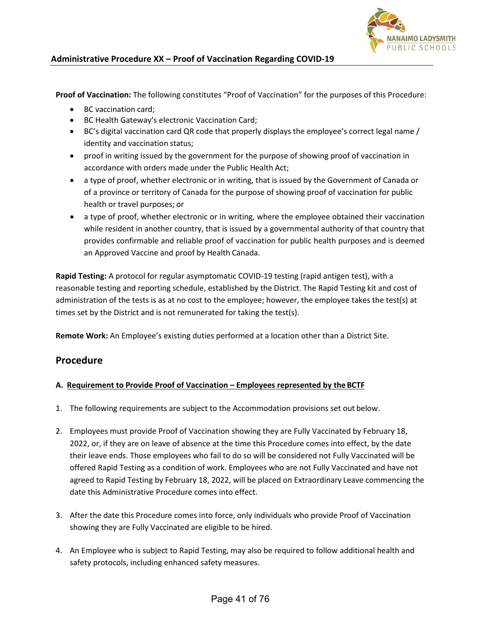

**Proof of Vaccination:** The following constitutes "Proof of Vaccination" for the purposes of this Procedure:

- BC vaccination card;
- BC Health Gateway's electronic Vaccination Card;
- BC's digital vaccination card QR code that properly displays the employee's correct legal name / identity and vaccination status;
- proof in writing issued by the government for the purpose of showing proof of vaccination in accordance with orders made under the Public Health Act;
- a type of proof, whether electronic or in writing, that is issued by the Government of Canada or of a province or territory of Canada for the purpose of showing proof of vaccination for public health or travel purposes; or
- a type of proof, whether electronic or in writing, where the employee obtained their vaccination while resident in another country, that is issued by a governmental authority of that country that provides confirmable and reliable proof of vaccination for public health purposes and is deemed an Approved Vaccine and proof by Health Canada.

**Rapid Testing:** A protocol for regular asymptomatic COVID-19 testing (rapid antigen test), with a reasonable testing and reporting schedule, established by the District. The Rapid Testing kit and cost of administration of the tests is as at no cost to the employee; however, the employee takes the test(s) at times set by the District and is not remunerated for taking the test(s).

**Remote Work:** An Employee's existing duties performed at a location other than a District Site.

## **Procedure**

#### **A. Requirement to Provide Proof of Vaccination – Employees represented by theBCTF**

- 1. The following requirements are subject to the Accommodation provisions set out below.
- 2. Employees must provide Proof of Vaccination showing they are Fully Vaccinated by February 18, 2022, or, if they are on leave of absence at the time this Procedure comes into effect, by the date their leave ends. Those employees who fail to do so will be considered not Fully Vaccinated will be offered Rapid Testing as a condition of work. Employees who are not Fully Vaccinated and have not agreed to Rapid Testing by February 18, 2022, will be placed on Extraordinary Leave commencing the date this Administrative Procedure comes into effect.
- 3. After the date this Procedure comes into force, only individuals who provide Proof of Vaccination showing they are Fully Vaccinated are eligible to be hired.
- 4. An Employee who is subject to Rapid Testing, may also be required to follow additional health and safety protocols, including enhanced safety measures.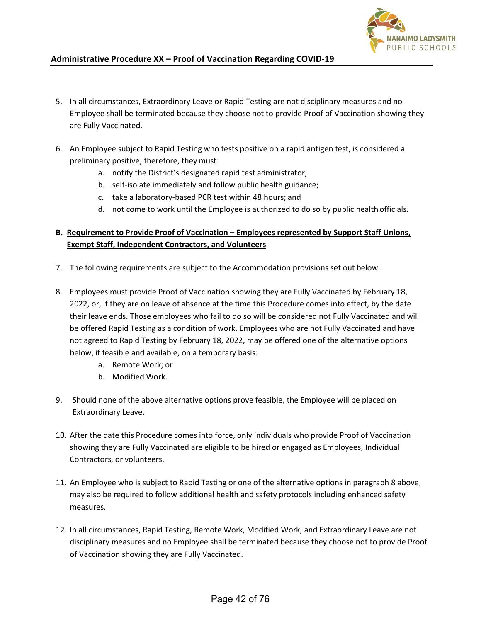

- 5. In all circumstances, Extraordinary Leave or Rapid Testing are not disciplinary measures and no Employee shall be terminated because they choose not to provide Proof of Vaccination showing they are Fully Vaccinated.
- 6. An Employee subject to Rapid Testing who tests positive on a rapid antigen test, is considered a preliminary positive; therefore, they must:
	- a. notify the District's designated rapid test administrator;
	- b. self-isolate immediately and follow public health guidance;
	- c. take a laboratory-based PCR test within 48 hours; and
	- d. not come to work until the Employee is authorized to do so by public healthofficials.

### **B. Requirement to Provide Proof of Vaccination – Employees represented by Support Staff Unions, Exempt Staff, Independent Contractors, and Volunteers**

- 7. The following requirements are subject to the Accommodation provisions set out below.
- 8. Employees must provide Proof of Vaccination showing they are Fully Vaccinated by February 18, 2022, or, if they are on leave of absence at the time this Procedure comes into effect, by the date their leave ends. Those employees who fail to do so will be considered not Fully Vaccinated and will be offered Rapid Testing as a condition of work. Employees who are not Fully Vaccinated and have not agreed to Rapid Testing by February 18, 2022, may be offered one of the alternative options below, if feasible and available, on a temporary basis:
	- a. Remote Work; or
	- b. Modified Work.
- 9. Should none of the above alternative options prove feasible, the Employee will be placed on Extraordinary Leave.
- 10. After the date this Procedure comes into force, only individuals who provide Proof of Vaccination showing they are Fully Vaccinated are eligible to be hired or engaged as Employees, Individual Contractors, or volunteers.
- 11. An Employee who is subject to Rapid Testing or one of the alternative options in paragraph 8 above, may also be required to follow additional health and safety protocols including enhanced safety measures.
- 12. In all circumstances, Rapid Testing, Remote Work, Modified Work, and Extraordinary Leave are not disciplinary measures and no Employee shall be terminated because they choose not to provide Proof of Vaccination showing they are Fully Vaccinated.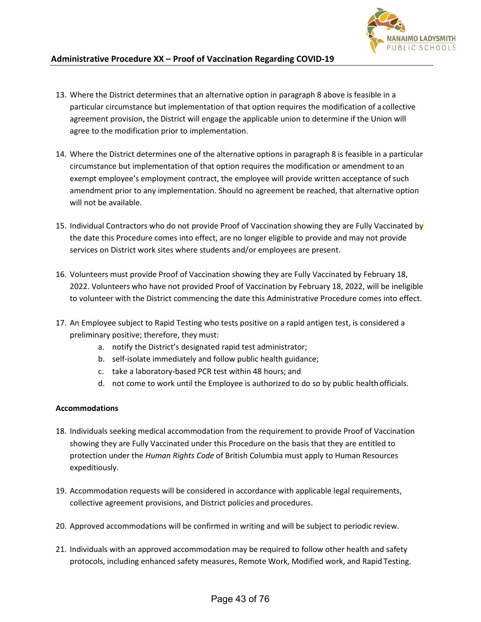

- 13. Where the District determines that an alternative option in paragraph 8 above is feasible in a particular circumstance but implementation of that option requires the modification of acollective agreement provision, the District will engage the applicable union to determine if the Union will agree to the modification prior to implementation.
- 14. Where the District determines one of the alternative options in paragraph 8 is feasible in a particular circumstance but implementation of that option requires the modification or amendment to an exempt employee's employment contract, the employee will provide written acceptance of such amendment prior to any implementation. Should no agreement be reached, that alternative option will not be available.
- 15. Individual Contractors who do not provide Proof of Vaccination showing they are Fully Vaccinated by the date this Procedure comes into effect, are no longer eligible to provide and may not provide services on District work sites where students and/or employees are present.
- 16. Volunteers must provide Proof of Vaccination showing they are Fully Vaccinated by February 18, 2022. Volunteers who have not provided Proof of Vaccination by February 18, 2022, will be ineligible to volunteer with the District commencing the date this Administrative Procedure comes into effect.
- 17. An Employee subject to Rapid Testing who tests positive on a rapid antigen test, is considered a preliminary positive; therefore, they must:
	- a. notify the District's designated rapid test administrator;
	- b. self-isolate immediately and follow public health guidance;
	- c. take a laboratory-based PCR test within 48 hours; and
	- d. not come to work until the Employee is authorized to do so by public healthofficials.

#### **Accommodations**

- 18. Individuals seeking medical accommodation from the requirement to provide Proof of Vaccination showing they are Fully Vaccinated under this Procedure on the basis that they are entitled to protection under the *Human Rights Code* of British Columbia must apply to Human Resources expeditiously.
- 19. Accommodation requests will be considered in accordance with applicable legal requirements, collective agreement provisions, and District policies and procedures.
- 20. Approved accommodations will be confirmed in writing and will be subject to periodic review.
- 21. Individuals with an approved accommodation may be required to follow other health and safety protocols, including enhanced safety measures, Remote Work, Modified work, and Rapid Testing.